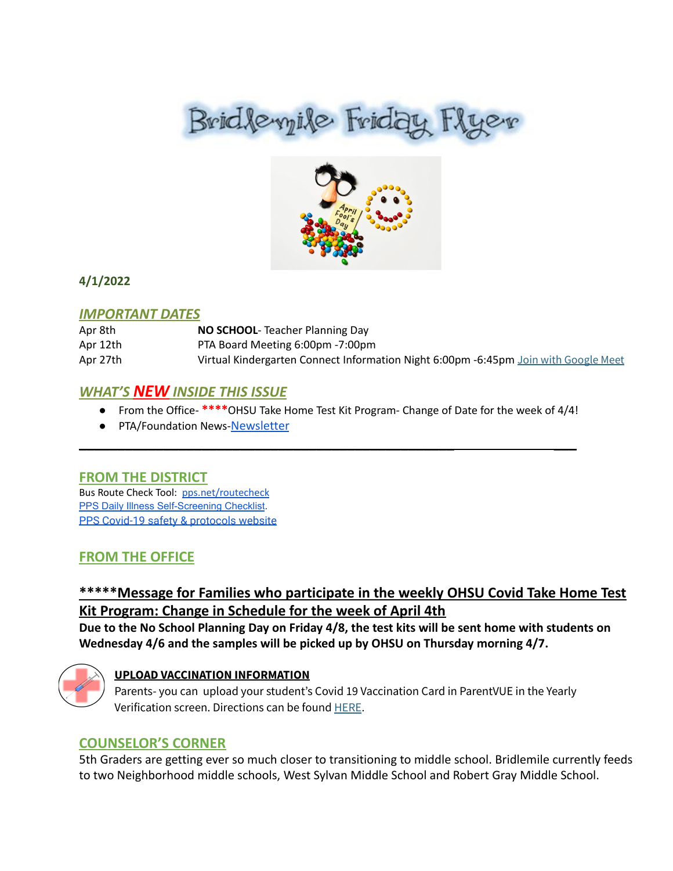# Brid levyile Friday Flyer



## **4/1/2022**

### *IMPORTANT DATES*

| Apr 8th  | <b>NO SCHOOL-</b> Teacher Planning Day                                              |
|----------|-------------------------------------------------------------------------------------|
| Apr 12th | PTA Board Meeting 6:00pm -7:00pm                                                    |
| Apr 27th | Virtual Kindergarten Connect Information Night 6:00pm -6:45pm Join with Google Meet |

## *WHAT'S NEW INSIDE THIS ISSUE*

● From the Office- **\*\*\*\***OHSU Take Home Test Kit Program- Change of Date for the week of 4/4!

\_\_\_\_\_\_\_\_\_\_\_\_\_\_\_\_\_\_\_\_\_\_\_\_\_\_\_\_\_\_\_\_\_\_\_\_\_\_\_\_\_\_\_\_\_\_\_\_\_ \_\_\_

● PTA/Foundation News-[Newsletter](https://docs.google.com/document/u/1/d/e/2PACX-1vQlZCPHtKxqO7qpJwiwgoeaZ1ERHVLgg6z0JNYJMTulwn7xlOVY_X2I1ZV9nntsGHP57LEZ_uSufaFj/pub)

## **FROM THE DISTRICT**

Bus Route Check Tool: [pps.net/routecheck](https://www.pps.net/routecheck) **[PPS Daily Illness Self-Screening Checklist](https://www.pps.net/Page/18693).** PPS Covid-19 safety & [protocols](http://track.spe.schoolmessenger.com/f/a/OAPoYPTPSVtUm_Aly1nyJQ~~/AAAAAQA~/RgRkDQ9iP0QkaHR0cHM6Ly93d3cucHBzLm5ldC9iYWNrdG9zY2hvb2wyMDIxVwdzY2hvb2xtQgpiKuLbK2Iqalv1UhBkYnVybGluZ0BwcHMubmV0WAQAAAAB) website

## **FROM THE OFFICE**

# **\*\*\*\*\*Message for Families who participate in the weekly OHSU Covid Take Home Test Kit Program: Change in Schedule for the week of April 4th**

**Due to the No School Planning Day on Friday 4/8, the test kits will be sent home with students on Wednesday 4/6 and the samples will be picked up by OHSU on Thursday morning 4/7.**



## **UPLOAD VACCINATION INFORMATION**

Parents- you can upload your student's Covid 19 Vaccination Card in ParentVUE in the Yearly Verification screen. Directions can be found [HERE](https://docs.google.com/document/d/1AxHhVVEjAqJxV1Vuh9PnfwkZHcp-Tde_x6iFOOEy58Y/edit).

## **COUNSELOR'S CORNER**

5th Graders are getting ever so much closer to transitioning to middle school. Bridlemile currently feeds to two Neighborhood middle schools, West Sylvan Middle School and Robert Gray Middle School.